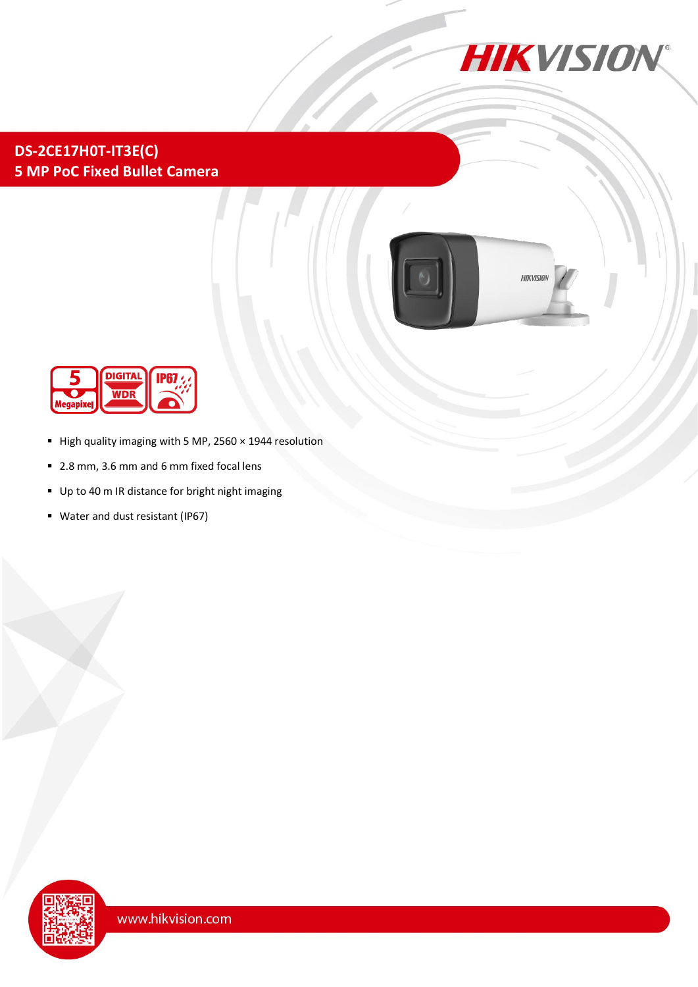

## **DS-2CE17H0T-IT3E(C) 5 MP PoC Fixed Bullet Camera**





- $\blacksquare$  High quality imaging with 5 MP, 2560  $\times$  1944 resolution
- 2.8 mm, 3.6 mm and 6 mm fixed focal lens
- Up to 40 m IR distance for bright night imaging
- Water and dust resistant (IP67)

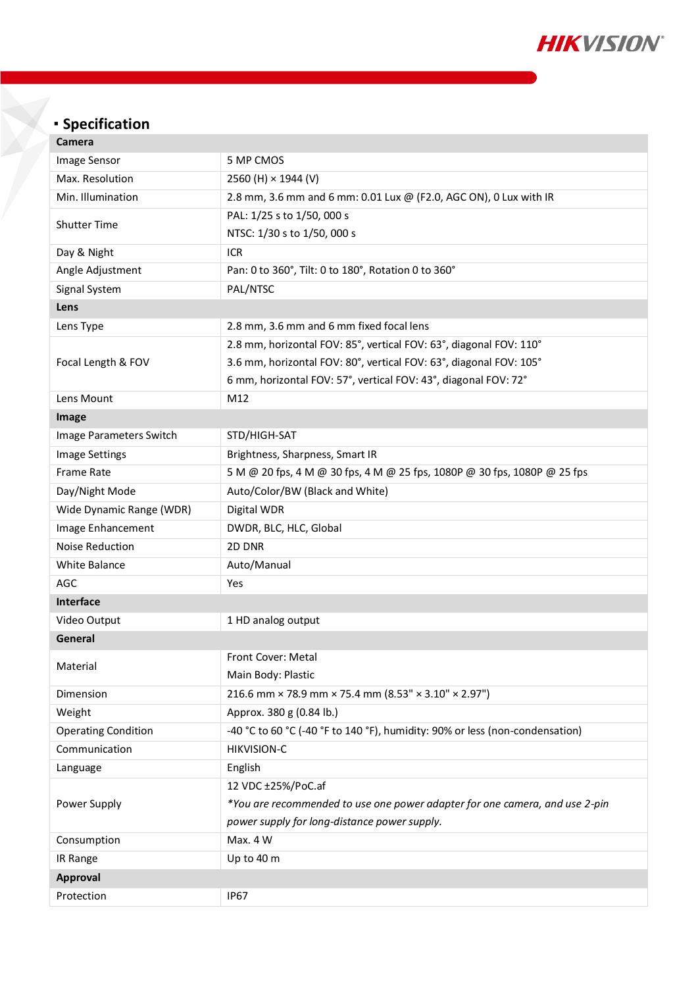

## **Specification**

| Camera                     |                                                                              |
|----------------------------|------------------------------------------------------------------------------|
| Image Sensor               | 5 MP CMOS                                                                    |
| Max. Resolution            | 2560 (H) × 1944 (V)                                                          |
| Min. Illumination          | 2.8 mm, 3.6 mm and 6 mm: 0.01 Lux @ (F2.0, AGC ON), 0 Lux with IR            |
| <b>Shutter Time</b>        | PAL: 1/25 s to 1/50, 000 s                                                   |
|                            | NTSC: 1/30 s to 1/50, 000 s                                                  |
| Day & Night                | <b>ICR</b>                                                                   |
| Angle Adjustment           | Pan: 0 to 360°, Tilt: 0 to 180°, Rotation 0 to 360°                          |
| Signal System              | PAL/NTSC                                                                     |
| Lens                       |                                                                              |
| Lens Type                  | 2.8 mm, 3.6 mm and 6 mm fixed focal lens                                     |
| Focal Length & FOV         | 2.8 mm, horizontal FOV: 85°, vertical FOV: 63°, diagonal FOV: 110°           |
|                            | 3.6 mm, horizontal FOV: 80°, vertical FOV: 63°, diagonal FOV: 105°           |
|                            | 6 mm, horizontal FOV: 57°, vertical FOV: 43°, diagonal FOV: 72°              |
| Lens Mount                 | M12                                                                          |
| Image                      |                                                                              |
| Image Parameters Switch    | STD/HIGH-SAT                                                                 |
| <b>Image Settings</b>      | Brightness, Sharpness, Smart IR                                              |
| <b>Frame Rate</b>          | 5 M @ 20 fps, 4 M @ 30 fps, 4 M @ 25 fps, 1080P @ 30 fps, 1080P @ 25 fps     |
| Day/Night Mode             | Auto/Color/BW (Black and White)                                              |
| Wide Dynamic Range (WDR)   | Digital WDR                                                                  |
| Image Enhancement          | DWDR, BLC, HLC, Global                                                       |
| <b>Noise Reduction</b>     | 2D DNR                                                                       |
| White Balance              | Auto/Manual                                                                  |
| AGC                        | Yes                                                                          |
| Interface                  |                                                                              |
| Video Output               | 1 HD analog output                                                           |
| General                    |                                                                              |
| Material                   | <b>Front Cover: Metal</b>                                                    |
|                            | Main Body: Plastic                                                           |
| Dimension                  | 216.6 mm × 78.9 mm × 75.4 mm (8.53" × 3.10" × 2.97")                         |
| Weight                     | Approx. 380 g (0.84 lb.)                                                     |
| <b>Operating Condition</b> | -40 °C to 60 °C (-40 °F to 140 °F), humidity: 90% or less (non-condensation) |
| Communication              | <b>HIKVISION-C</b>                                                           |
| Language                   | English                                                                      |
| Power Supply               | 12 VDC ±25%/PoC.af                                                           |
|                            | *You are recommended to use one power adapter for one camera, and use 2-pin  |
|                            | power supply for long-distance power supply.                                 |
| Consumption                | Max. 4 W                                                                     |
| IR Range                   | Up to 40 m                                                                   |
| <b>Approval</b>            |                                                                              |
| Protection                 | <b>IP67</b>                                                                  |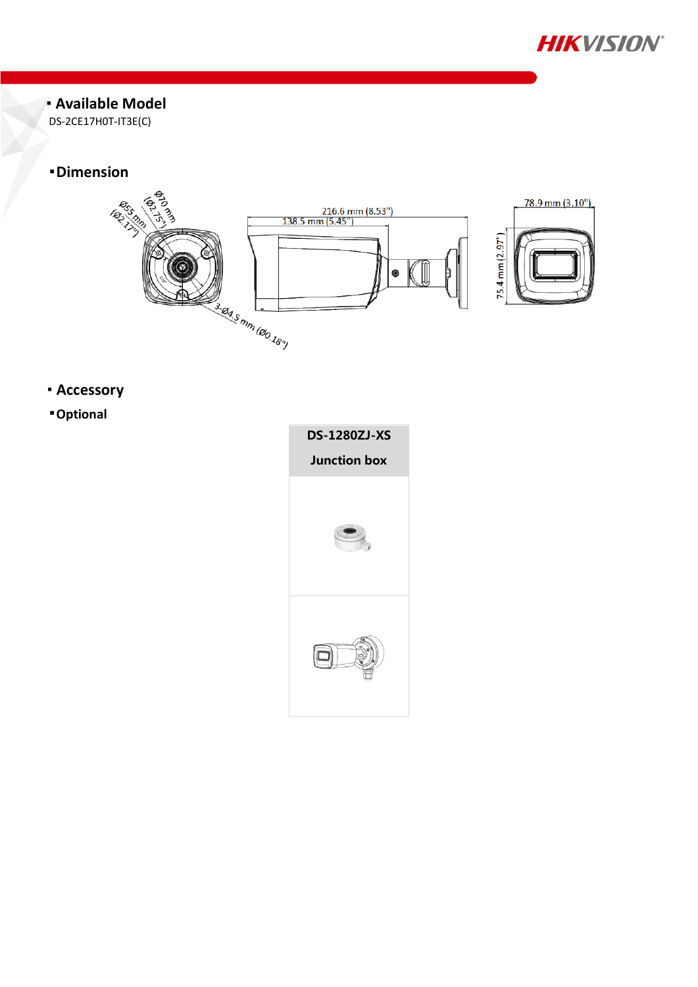

**Available Model**

DS-2CE17H0T-IT3E(C)

## **Dimension**



- **Accessory**
- **Optional**